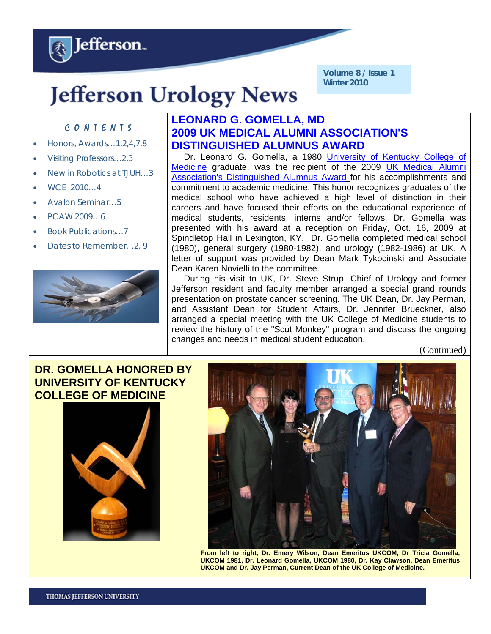**Volume 8 / Issue 1 Winter 2010**

# **Jefferson Urology News**

#### C O N T E N T S

Jefferson..

- Honors, Awards…1,2,4,7,8
- Visiting Professors…2,3
- New in Robotics at TJUH…3
- WCE 2010…4
- Avalon Seminar…5
- PCAW 2009…6
- Book Publications…7
- Dates to Remember…2, 9



#### **LEONARD G. GOMELLA, MD 2009 UK MEDICAL ALUMNI ASSOCIATION'S DISTINGUISHED ALUMNUS AWARD**

 Dr. Leonard G. Gomella, a 1980 University of Kentucky College of Medicine graduate, was the recipient of the 2009 UK Medical Alumni Association's Distinguished Alumnus Award for his accomplishments and commitment to academic medicine. This honor recognizes graduates of the medical school who have achieved a high level of distinction in their careers and have focused their efforts on the educational experience of medical students, residents, interns and/or fellows. Dr. Gomella was presented with his award at a reception on Friday, Oct. 16, 2009 at Spindletop Hall in Lexington, KY. Dr. Gomella completed medical school (1980), general surgery (1980-1982), and urology (1982-1986) at UK. A letter of support was provided by Dean Mark Tykocinski and Associate Dean Karen Novielli to the committee.

 During his visit to UK, Dr. Steve Strup, Chief of Urology and former Jefferson resident and faculty member arranged a special grand rounds presentation on prostate cancer screening. The UK Dean, Dr. Jay Perman, and Assistant Dean for Student Affairs, Dr. Jennifer Brueckner, also arranged a special meeting with the UK College of Medicine students to review the history of the "Scut Monkey" program and discuss the ongoing changes and needs in medical student education.

(Continued)

#### **DR. GOMELLA HONORED BY** . **UNIVERSITY OF KENTUCKY COLLEGE OF MEDICINE**





**From left to right, Dr. Emery Wilson, Dean Emeritus UKCOM, Dr Tricia Gomella, UKCOM 1981, Dr. Leonard Gomella, UKCOM 1980, Dr. Kay Clawson, Dean Emeritus UKCOM and Dr. Jay Perman, Current Dean of the UK College of Medicine.**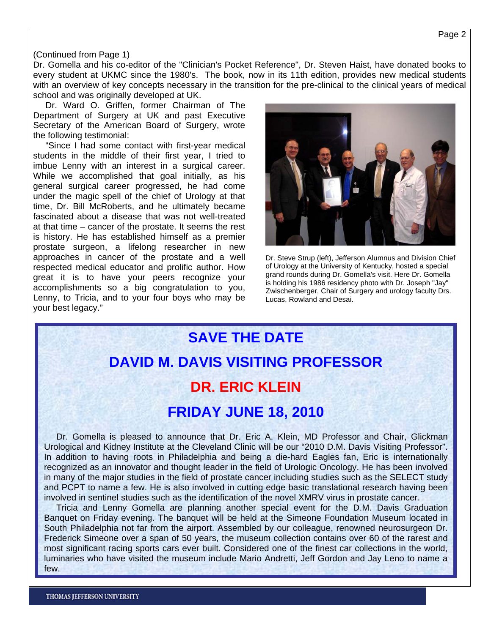#### (Continued from Page 1)

Dr. Gomella and his co-editor of the "Clinician's Pocket Reference", Dr. Steven Haist, have donated books to every student at UKMC since the 1980's. The book, now in its 11th edition, provides new medical students with an overview of key concepts necessary in the transition for the pre-clinical to the clinical years of medical school and was originally developed at UK.

 Dr. Ward O. Griffen, former Chairman of The Department of Surgery at UK and past Executive Secretary of the American Board of Surgery, wrote the following testimonial:

 "Since I had some contact with first-year medical students in the middle of their first year, I tried to imbue Lenny with an interest in a surgical career. While we accomplished that goal initially, as his general surgical career progressed, he had come under the magic spell of the chief of Urology at that time, Dr. Bill McRoberts, and he ultimately became fascinated about a disease that was not well-treated at that time – cancer of the prostate. It seems the rest is history. He has established himself as a premier prostate surgeon, a lifelong researcher in new approaches in cancer of the prostate and a well respected medical educator and prolific author. How great it is to have your peers recognize your accomplishments so a big congratulation to you, Lenny, to Tricia, and to your four boys who may be your best legacy."



Dr. Steve Strup (left), Jefferson Alumnus and Division Chief of Urology at the University of Kentucky, hosted a special grand rounds during Dr. Gomella's visit. Here Dr. Gomella is holding his 1986 residency photo with Dr. Joseph "Jay" Zwischenberger, Chair of Surgery and urology faculty Drs. Lucas, Rowland and Desai.

# **SAVE THE DATE DAVID M. DAVIS VISITING PROFESSOR DR. ERIC KLEIN**

# **FRIDAY JUNE 18, 2010**

 Dr. Gomella is pleased to announce that Dr. Eric A. Klein, MD Professor and Chair, Glickman Urological and Kidney Institute at the Cleveland Clinic will be our "2010 D.M. Davis Visiting Professor". In addition to having roots in Philadelphia and being a die-hard Eagles fan, Eric is internationally recognized as an innovator and thought leader in the field of Urologic Oncology. He has been involved in many of the major studies in the field of prostate cancer including studies such as the SELECT study and PCPT to name a few. He is also involved in cutting edge basic translational research having been involved in sentinel studies such as the identification of the novel XMRV virus in prostate cancer.

 Tricia and Lenny Gomella are planning another special event for the D.M. Davis Graduation Banquet on Friday evening. The banquet will be held at the Simeone Foundation Museum located in South Philadelphia not far from the airport. Assembled by our colleague, renowned neurosurgeon Dr. Frederick Simeone over a span of 50 years, the museum collection contains over 60 of the rarest and most significant racing sports cars ever built. Considered one of the finest car collections in the world, luminaries who have visited the museum include Mario Andretti, Jeff Gordon and Jay Leno to name a few.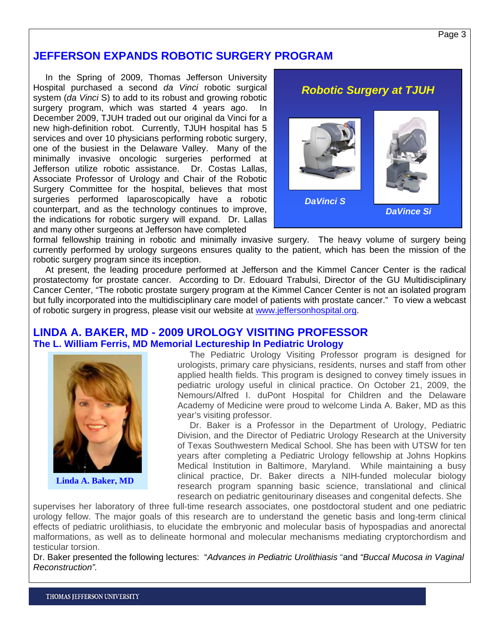#### **JEFFERSON EXPANDS ROBOTIC SURGERY PROGRAM**

 In the Spring of 2009, Thomas Jefferson University Hospital purchased a second *da Vinci* robotic surgical system (*da Vinci* S) to add to its robust and growing robotic surgery program, which was started 4 years ago. In December 2009, TJUH traded out our original da Vinci for a new high-definition robot. Currently, TJUH hospital has 5 services and over 10 physicians performing robotic surgery, one of the busiest in the Delaware Valley. Many of the minimally invasive oncologic surgeries performed at Jefferson utilize robotic assistance. Dr. Costas Lallas, Associate Professor of Urology and Chair of the Robotic Surgery Committee for the hospital, believes that most surgeries performed laparoscopically have a robotic counterpart, and as the technology continues to improve, the indications for robotic surgery will expand. Dr. Lallas and many other surgeons at Jefferson have completed



formal fellowship training in robotic and minimally invasive surgery. The heavy volume of surgery being currently performed by urology surgeons ensures quality to the patient, which has been the mission of the robotic surgery program since its inception.

 At present, the leading procedure performed at Jefferson and the Kimmel Cancer Center is the radical prostatectomy for prostate cancer. According to Dr. Edouard Trabulsi, Director of the GU Multidisciplinary Cancer Center, "The robotic prostate surgery program at the Kimmel Cancer Center is not an isolated program but fully incorporated into the multidisciplinary care model of patients with prostate cancer." To view a webcast of robotic surgery in progress, please visit our website at www.jeffersonhospital.org.

#### **LINDA A. BAKER, MD - 2009 UROLOGY VISITING PROFESSOR The L. William Ferris, MD Memorial Lectureship In Pediatric Urology**



**Linda A. Baker, MD** 

 The Pediatric Urology Visiting Professor program is designed for urologists, primary care physicians, residents, nurses and staff from other applied health fields. This program is designed to convey timely issues in pediatric urology useful in clinical practice. On October 21, 2009, the Nemours/Alfred I. duPont Hospital for Children and the Delaware Academy of Medicine were proud to welcome Linda A. Baker, MD as this year's visiting professor.

 Dr. Baker is a Professor in the Department of Urology, Pediatric Division, and the Director of Pediatric Urology Research at the University of Texas Southwestern Medical School. She has been with UTSW for ten years after completing a Pediatric Urology fellowship at Johns Hopkins Medical Institution in Baltimore, Maryland. While maintaining a busy clinical practice, Dr. Baker directs a NIH-funded molecular biology research program spanning basic science, translational and clinical research on pediatric genitourinary diseases and congenital defects. She

supervises her laboratory of three full-time research associates, one postdoctoral student and one pediatric urology fellow. The major goals of this research are to understand the genetic basis and long-term clinical effects of pediatric urolithiasis, to elucidate the embryonic and molecular basis of hypospadias and anorectal malformations, as well as to delineate hormonal and molecular mechanisms mediating cryptorchordism and testicular torsion.

Dr. Baker presented the following lectures: "*Advances in Pediatric Urolithiasis* "and *"Buccal Mucosa in Vaginal Reconstruction".*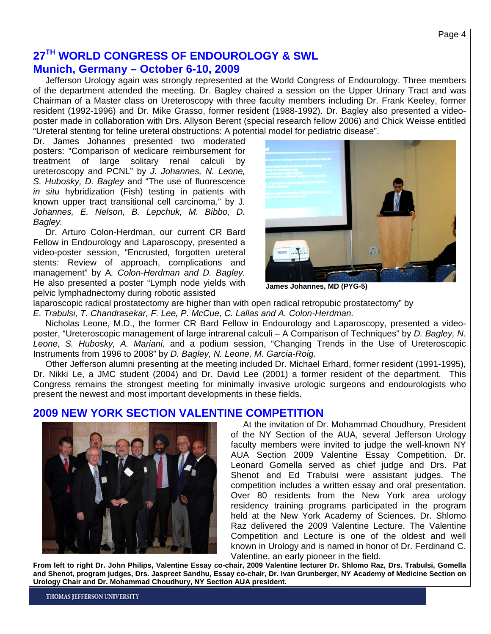### **27TH WORLD CONGRESS OF ENDOUROLOGY & SWL Munich, Germany – October 6-10, 2009**

 Jefferson Urology again was strongly represented at the World Congress of Endourology. Three members of the department attended the meeting. Dr. Bagley chaired a session on the Upper Urinary Tract and was Chairman of a Master class on Ureteroscopy with three faculty members including Dr. Frank Keeley, former resident (1992-1996) and Dr. Mike Grasso, former resident (1988-1992). Dr. Bagley also presented a videoposter made in collaboration with Drs. Allyson Berent (special research fellow 2006) and Chick Weisse entitled "Ureteral stenting for feline ureteral obstructions: A potential model for pediatric disease".

Dr. James Johannes presented two moderated posters: "Comparison of Medicare reimbursement for treatment of large solitary renal calculi by ureteroscopy and PCNL" by *J. Johannes, N. Leone, S. Hubosky, D. Bagley* and "The use of fluorescence *in situ* hybridization (Fish) testing in patients with known upper tract transitional cell carcinoma." by J*. Johannes, E. Nelson, B. Lepchuk, M. Bibbo, D. Bagley.* 

 Dr. Arturo Colon-Herdman, our current CR Bard Fellow in Endourology and Laparoscopy, presented a video-poster session, "Encrusted, forgotten ureteral stents: Review of approach, complications and management" by A*. Colon-Herdman and D. Bagley.*  He also presented a poster "Lymph node yields with pelvic lymphadnectomy during robotic assisted



**James Johannes, MD (PYG-5)** 

laparoscopic radical prostatectomy are higher than with open radical retropubic prostatectomy" by

*E. Trabulsi, T. Chandrasekar, F. Lee, P. McCue, C. Lallas and A. Colon-Herdman.* 

 Nicholas Leone, M.D., the former CR Bard Fellow in Endourology and Laparoscopy, presented a videoposter, "Ureteroscopic management of large intrarenal calculi – A Comparison of Techniques" by *D. Bagley, N. Leone, S. Hubosky, A. Mariani,* and a podium session, "Changing Trends in the Use of Ureteroscopic Instruments from 1996 to 2008" by *D. Bagley, N. Leone, M. Garcia-Roig.* 

 Other Jefferson alumni presenting at the meeting included Dr. Michael Erhard, former resident (1991-1995), Dr. Nikki Le, a JMC student (2004) and Dr. David Lee (2001) a former resident of the department. This Congress remains the strongest meeting for minimally invasive urologic surgeons and endourologists who present the newest and most important developments in these fields.

#### **2009 NEW YORK SECTION VALENTINE COMPETITION**



 At the invitation of Dr. Mohammad Choudhury, President of the NY Section of the AUA, several Jefferson Urology faculty members were invited to judge the well-known NY AUA Section 2009 Valentine Essay Competition. Dr. Leonard Gomella served as chief judge and Drs. Pat Shenot and Ed Trabulsi were assistant judges. The competition includes a written essay and oral presentation. Over 80 residents from the New York area urology residency training programs participated in the program held at the New York Academy of Sciences. Dr. Shlomo Raz delivered the 2009 Valentine Lecture. The Valentine Competition and Lecture is one of the oldest and well known in Urology and is named in honor of Dr. Ferdinand C. Valentine, an early pioneer in the field.

**From left to right Dr. John Philips, Valentine Essay co-chair, 2009 Valentine lecturer Dr. Shlomo Raz, Drs. Trabulsi, Gomella and Shenot, program judges, Drs. Jaspreet Sandhu, Essay co-chair, Dr. Ivan Grunberger, NY Academy of Medicine Section on Urology Chair and Dr. Mohammad Choudhury, NY Section AUA president.**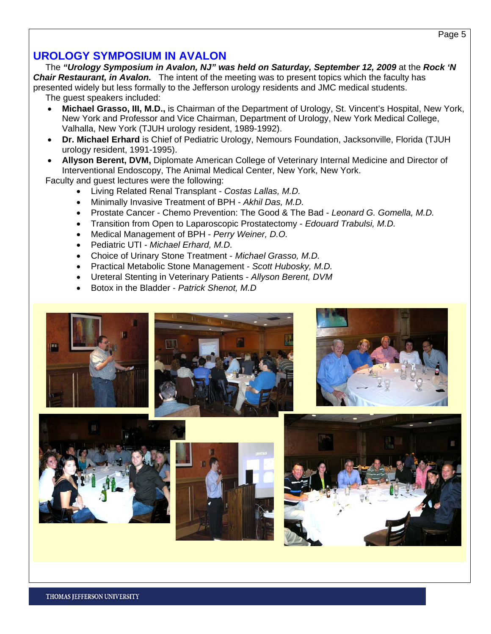#### **UROLOGY SYMPOSIUM IN AVALON**

 The *"Urology Symposium in Avalon, NJ" was held on Saturday, September 12, 2009* at the *Rock 'N Chair Restaurant, in Avalon.* The intent of the meeting was to present topics which the faculty has presented widely but less formally to the Jefferson urology residents and JMC medical students. The guest speakers included:

- **Michael Grasso, III, M.D.,** is Chairman of the Department of Urology, St. Vincent's Hospital, New York, New York and Professor and Vice Chairman, Department of Urology, New York Medical College, Valhalla, New York (TJUH urology resident, 1989-1992).
- **Dr. Michael Erhard** is Chief of Pediatric Urology, Nemours Foundation, Jacksonville, Florida (TJUH urology resident, 1991-1995).
- **Allyson Berent, DVM,** Diplomate American College of Veterinary Internal Medicine and Director of Interventional Endoscopy, The Animal Medical Center, New York, New York.

Faculty and guest lectures were the following:

- Living Related Renal Transplant *Costas Lallas, M.D.*
- Minimally Invasive Treatment of BPH *Akhil Das, M.D.*
- Prostate Cancer Chemo Prevention: The Good & The Bad *Leonard G. Gomella, M.D.*
- Transition from Open to Laparoscopic Prostatectomy *Edouard Trabulsi, M.D.*
- Medical Management of BPH *Perry Weiner, D.O.*
- Pediatric UTI *Michael Erhard, M.D.*
- Choice of Urinary Stone Treatment *Michael Grasso, M.D.*
- Practical Metabolic Stone Management *Scott Hubosky, M.D.*
- Ureteral Stenting in Veterinary Patients *Allyson Berent, DVM*
- Botox in the Bladder *Patrick Shenot, M.D*

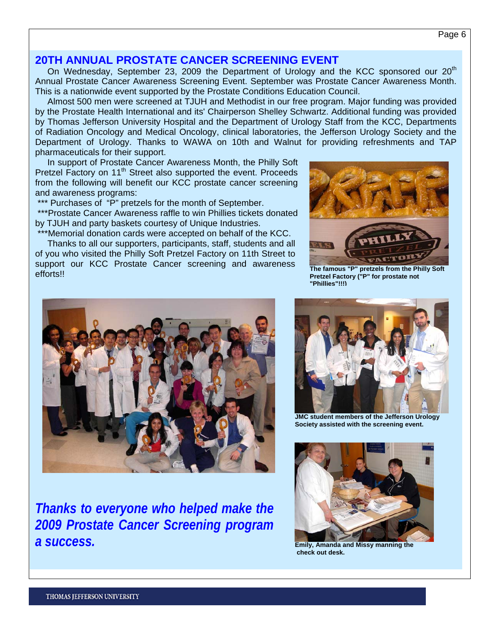#### **20TH ANNUAL PROSTATE CANCER SCREENING EVENT**

On Wednesday, September 23, 2009 the Department of Urology and the KCC sponsored our 20<sup>th</sup> Annual Prostate Cancer Awareness Screening Event. September was Prostate Cancer Awareness Month. This is a nationwide event supported by the Prostate Conditions Education Council.

 Almost 500 men were screened at TJUH and Methodist in our free program. Major funding was provided by the Prostate Health International and its' Chairperson Shelley Schwartz. Additional funding was provided by Thomas Jefferson University Hospital and the Department of Urology Staff from the KCC, Departments of Radiation Oncology and Medical Oncology, clinical laboratories, the Jefferson Urology Society and the Department of Urology. Thanks to WAWA on 10th and Walnut for providing refreshments and TAP pharmaceuticals for their support.

 In support of Prostate Cancer Awareness Month, the Philly Soft Pretzel Factory on 11<sup>th</sup> Street also supported the event. Proceeds from the following will benefit our KCC prostate cancer screening and awareness programs:

\*\*\* Purchases of "P" pretzels for the month of September.

\*\*\*Prostate Cancer Awareness raffle to win Phillies tickets donated by TJUH and party baskets courtesy of Unique Industries.

\*\*\*Memorial donation cards were accepted on behalf of the KCC.

 Thanks to all our supporters, participants, staff, students and all of you who visited the Philly Soft Pretzel Factory on 11th Street to support our KCC Prostate Cancer screening and awareness efforts!!



**The famous "P" pretzels from the Philly Soft Pretzel Factory ("P" for prostate not "Phillies"!!!)**



*Thanks to everyone who helped make the 2009 Prostate Cancer Screening program a success.* 



**JMC student members of the Jefferson Urology Society assisted with the screening event.**



**Emily, Amanda and Missy manning the check out desk.**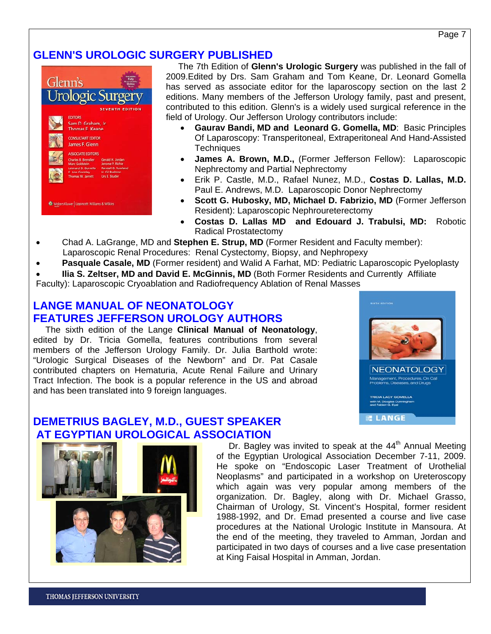#### **GLENN'S UROLOGIC SURGERY PUBLISHED**



 The 7th Edition of **Glenn's Urologic Surgery** was published in the fall of 2009.Edited by Drs. Sam Graham and Tom Keane, Dr. Leonard Gomella has served as associate editor for the laparoscopy section on the last 2 editions. Many members of the Jefferson Urology family, past and present, contributed to this edition. Glenn's is a widely used surgical reference in the field of Urology. Our Jefferson Urology contributors include:

- **Gaurav Bandi, MD and Leonard G. Gomella, MD**: Basic Principles Of Laparoscopy: Transperitoneal, Extraperitoneal And Hand-Assisted **Techniques**
- **James A. Brown, M.D.,** (Former Jefferson Fellow): Laparoscopic Nephrectomy and Partial Nephrectomy
- Erik P. Castle, M.D., Rafael Nunez, M.D., **Costas D. Lallas, M.D.** Paul E. Andrews, M.D. Laparoscopic Donor Nephrectomy
- **Scott G. Hubosky, MD, Michael D. Fabrizio, MD** (Former Jefferson Resident): Laparoscopic Nephroureterectomy
- **Costas D. Lallas MD and Edouard J. Trabulsi, MD:** Robotic Radical Prostatectomy
- Chad A. LaGrange, MD and **Stephen E. Strup, MD** (Former Resident and Faculty member): Laparoscopic Renal Procedures: Renal Cystectomy, Biopsy, and Nephropexy
- **Pasquale Casale, MD** (Former resident) and Walid A Farhat, MD: Pediatric Laparoscopic Pyeloplasty
- **Ilia S. Zeltser, MD and David E. McGinnis, MD** (Both Former Residents and Currently Affiliate
- Faculty): Laparoscopic Cryoablation and Radiofrequency Ablation of Renal Masses

#### **LANGE MANUAL OF NEONATOLOGY FEATURES JEFFERSON UROLOGY AUTHORS**

 The sixth edition of the Lange **Clinical Manual of Neonatology**, edited by Dr. Tricia Gomella, features contributions from several members of the Jefferson Urology Family. Dr. Julia Barthold wrote: "Urologic Surgical Diseases of the Newborn" and Dr. Pat Casale contributed chapters on Hematuria, Acute Renal Failure and Urinary Tract Infection. The book is a popular reference in the US and abroad and has been translated into 9 foreign languages.



#### **DEMETRIUS BAGLEY, M.D., GUEST SPEAKER AT EGYPTIAN UROLOGICAL ASSOCIATION**



Dr. Bagley was invited to speak at the 44<sup>th</sup> Annual Meeting of the Egyptian Urological Association December 7-11, 2009. He spoke on "Endoscopic Laser Treatment of Urothelial Neoplasms" and participated in a workshop on Ureteroscopy which again was very popular among members of the organization. Dr. Bagley, along with Dr. Michael Grasso, Chairman of Urology, St. Vincent's Hospital, former resident 1988-1992, and Dr. Emad presented a course and live case procedures at the National Urologic Institute in Mansoura. At the end of the meeting, they traveled to Amman, Jordan and participated in two days of courses and a live case presentation at King Faisal Hospital in Amman, Jordan.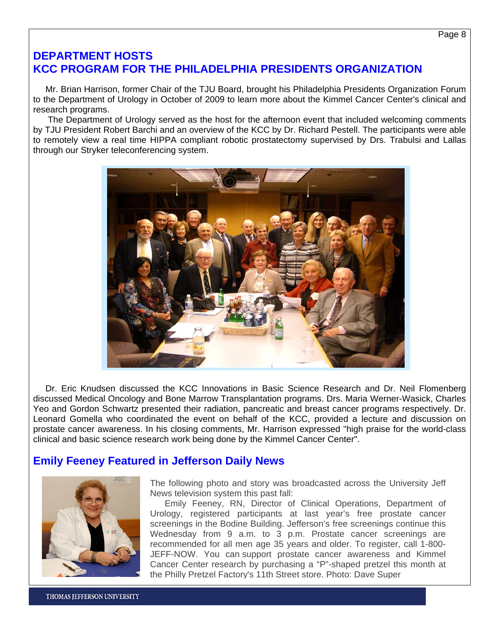#### **DEPARTMENT HOSTS KCC PROGRAM FOR THE PHILADELPHIA PRESIDENTS ORGANIZATION**

 Mr. Brian Harrison, former Chair of the TJU Board, brought his Philadelphia Presidents Organization Forum to the Department of Urology in October of 2009 to learn more about the Kimmel Cancer Center's clinical and research programs.

 The Department of Urology served as the host for the afternoon event that included welcoming comments by TJU President Robert Barchi and an overview of the KCC by Dr. Richard Pestell. The participants were able to remotely view a real time HIPPA compliant robotic prostatectomy supervised by Drs. Trabulsi and Lallas through our Stryker teleconferencing system.



 Dr. Eric Knudsen discussed the KCC Innovations in Basic Science Research and Dr. Neil Flomenberg discussed Medical Oncology and Bone Marrow Transplantation programs. Drs. Maria Werner-Wasick, Charles Yeo and Gordon Schwartz presented their radiation, pancreatic and breast cancer programs respectively. Dr. Leonard Gomella who coordinated the event on behalf of the KCC, provided a lecture and discussion on prostate cancer awareness. In his closing comments, Mr. Harrison expressed "high praise for the world-class clinical and basic science research work being done by the Kimmel Cancer Center".

#### **Emily Feeney Featured in Jefferson Daily News**



The following photo and story was broadcasted across the University Jeff News television system this past fall:

 Emily Feeney, RN, Director of Clinical Operations, Department of Urology, registered participants at last year's free prostate cancer screenings in the Bodine Building. Jefferson's free screenings continue this Wednesday from 9 a.m. to 3 p.m. Prostate cancer screenings are recommended for all men age 35 years and older. To register, call 1-800- JEFF-NOW. You can support prostate cancer awareness and Kimmel Cancer Center research by purchasing a "P"-shaped pretzel this month at the Philly Pretzel Factory's 11th Street store. Photo: Dave Super

THOMAS IEFFERSON UNIVERSITY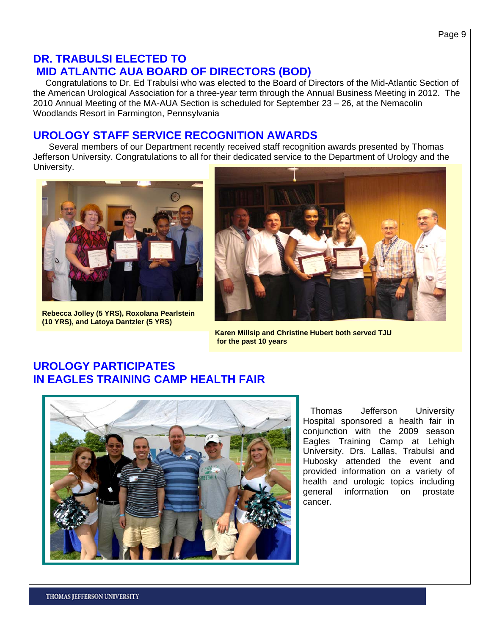# **DR. TRABULSI ELECTED TO MID ATLANTIC AUA BOARD OF DIRECTORS (BOD)**

 Congratulations to Dr. Ed Trabulsi who was elected to the Board of Directors of the Mid-Atlantic Section of the American Urological Association for a three-year term through the Annual Business Meeting in 2012. The 2010 Annual Meeting of the MA-AUA Section is scheduled for September 23 – 26, at the Nemacolin Woodlands Resort in Farmington, Pennsylvania

#### **UROLOGY STAFF SERVICE RECOGNITION AWARDS**

Several members of our Department recently received staff recognition awards presented by Thomas Jefferson University. Congratulations to all for their dedicated service to the Department of Urology and the University.



**Rebecca Jolley (5 YRS), Roxolana Pearlstein (10 YRS), and Latoya Dantzler (5 YRS)** 



**Karen Millsip and Christine Hubert both served TJU for the past 10 years** 

# **UROLOGY PARTICIPATES IN EAGLES TRAINING CAMP HEALTH FAIR**



 Thomas Jefferson University Hospital sponsored a health fair in conjunction with the 2009 season Eagles Training Camp at Lehigh University. Drs. Lallas, Trabulsi and Hubosky attended the event and provided information on a variety of health and urologic topics including general information on prostate cancer.